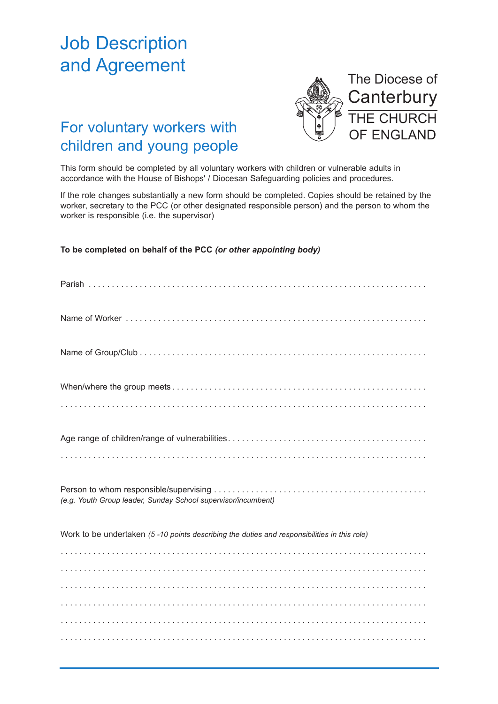## Job Description and Agreement



## For voluntary workers with children and young people

This form should be completed by all voluntary workers with children or vulnerable adults in accordance with the House of Bishops' / Diocesan Safeguarding policies and procedures.

If the role changes substantially a new form should be completed. Copies should be retained by the worker, secretary to the PCC (or other designated responsible person) and the person to whom the worker is responsible (i.e. the supervisor)

**To be completed on behalf of the PCC** *(or other appointing body)*

| (e.g. Youth Group leader, Sunday School supervisor/incumbent)                               |
|---------------------------------------------------------------------------------------------|
| Work to be undertaken (5-10 points describing the duties and responsibilities in this role) |
|                                                                                             |
|                                                                                             |
|                                                                                             |
|                                                                                             |
|                                                                                             |
|                                                                                             |